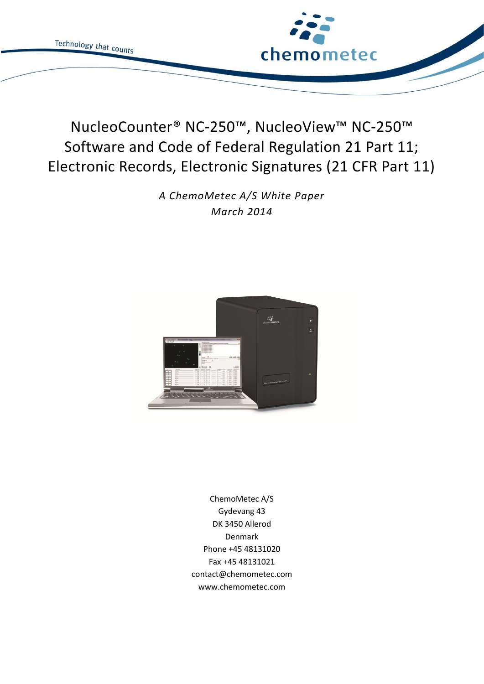

# NucleoCounter® NC-250™, NucleoView™ NC-250™ Software and Code of Federal Regulation 21 Part 11; Electronic Records, Electronic Signatures (21 CFR Part 11)

*A ChemoMetec A/S White Paper March 2014*



ChemoMetec A/S Gydevang 43 DK 3450 Allerod Denmark Phone +45 48131020 Fax +45 48131021 contact@chemometec.com www.chemometec.com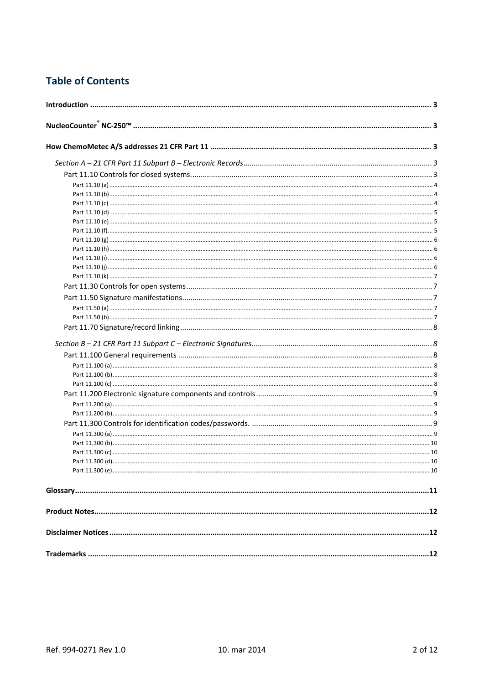# **Table of Contents**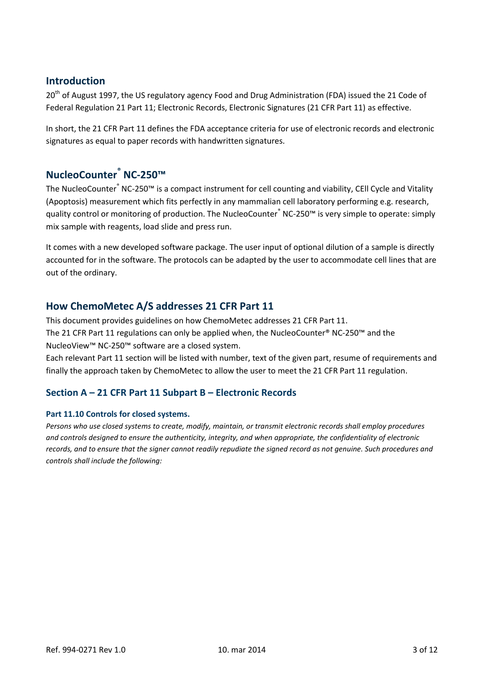# <span id="page-2-0"></span>**Introduction**

20<sup>th</sup> of August 1997, the US regulatory agency Food and Drug Administration (FDA) issued the 21 Code of Federal Regulation 21 Part 11; Electronic Records, Electronic Signatures (21 CFR Part 11) as effective.

In short, the 21 CFR Part 11 defines the FDA acceptance criteria for use of electronic records and electronic signatures as equal to paper records with handwritten signatures.

# <span id="page-2-1"></span>**NucleoCounter® NC-250™**

The NucleoCounter® NC-250<sup>™</sup> is a compact instrument for cell counting and viability, CEll Cycle and Vitality (Apoptosis) measurement which fits perfectly in any mammalian cell laboratory performing e.g. research, quality control or monitoring of production. The NucleoCounter® NC-250™ is very simple to operate: simply mix sample with reagents, load slide and press run.

It comes with a new developed software package. The user input of optional dilution of a sample is directly accounted for in the software. The protocols can be adapted by the user to accommodate cell lines that are out of the ordinary.

# <span id="page-2-2"></span>**How ChemoMetec A/S addresses 21 CFR Part 11**

This document provides guidelines on how ChemoMetec addresses 21 CFR Part 11. The 21 CFR Part 11 regulations can only be applied when, the NucleoCounter® NC-250™ and the NucleoView™ NC-250™ software are a closed system.

Each relevant Part 11 section will be listed with number, text of the given part, resume of requirements and finally the approach taken by ChemoMetec to allow the user to meet the 21 CFR Part 11 regulation.

# <span id="page-2-3"></span>**Section A – 21 CFR Part 11 Subpart B – Electronic Records**

# <span id="page-2-4"></span>**Part 11.10 Controls for closed systems.**

*Persons who use closed systems to create, modify, maintain, or transmit electronic records shall employ procedures and controls designed to ensure the authenticity, integrity, and when appropriate, the confidentiality of electronic records, and to ensure that the signer cannot readily repudiate the signed record as not genuine. Such procedures and controls shall include the following:*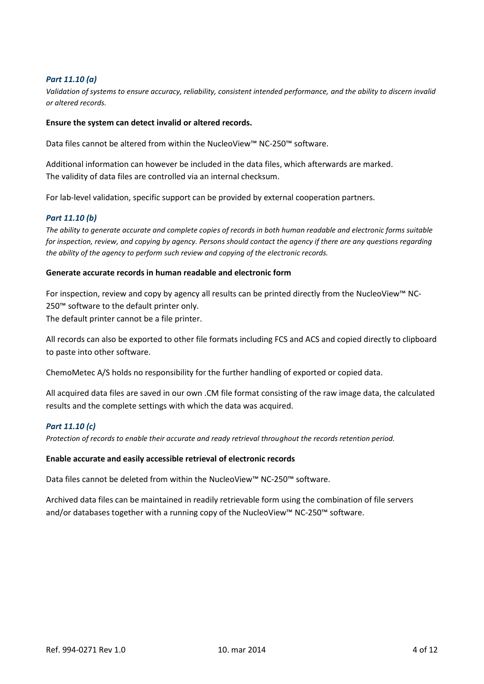# <span id="page-3-0"></span>*Part 11.10 (a)*

*Validation of systems to ensure accuracy, reliability, consistent intended performance, and the ability to discern invalid or altered records.*

#### **Ensure the system can detect invalid or altered records.**

Data files cannot be altered from within the NucleoView™ NC-250™ software.

Additional information can however be included in the data files, which afterwards are marked. The validity of data files are controlled via an internal checksum.

For lab-level validation, specific support can be provided by external cooperation partners.

#### <span id="page-3-1"></span>*Part 11.10 (b)*

*The ability to generate accurate and complete copies of records in both human readable and electronic forms suitable for inspection, review, and copying by agency. Persons should contact the agency if there are any questions regarding the ability of the agency to perform such review and copying of the electronic records.*

#### **Generate accurate records in human readable and electronic form**

For inspection, review and copy by agency all results can be printed directly from the NucleoView™ NC-250<sup>™</sup> software to the default printer only. The default printer cannot be a file printer.

All records can also be exported to other file formats including FCS and ACS and copied directly to clipboard to paste into other software.

ChemoMetec A/S holds no responsibility for the further handling of exported or copied data.

All acquired data files are saved in our own .CM file format consisting of the raw image data, the calculated results and the complete settings with which the data was acquired.

#### <span id="page-3-2"></span>*Part 11.10 (c)*

*Protection of records to enable their accurate and ready retrieval throughout the records retention period.*

#### **Enable accurate and easily accessible retrieval of electronic records**

Data files cannot be deleted from within the NucleoView™ NC-250™ software.

Archived data files can be maintained in readily retrievable form using the combination of file servers and/or databases together with a running copy of the NucleoView™ NC-250™ software.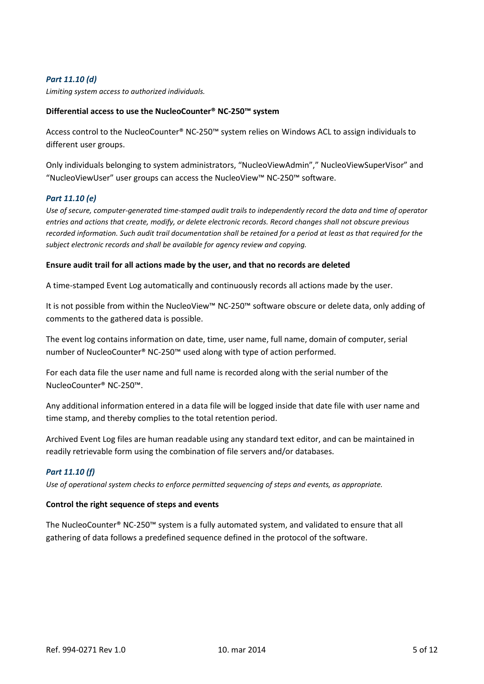# <span id="page-4-0"></span>*Part 11.10 (d)*

*Limiting system access to authorized individuals.*

### **Differential access to use the NucleoCounter® NC-250™ system**

Access control to the NucleoCounter® NC-250™ system relies on Windows ACL to assign individuals to different user groups.

Only individuals belonging to system administrators, "NucleoViewAdmin"," NucleoViewSuperVisor" and "NucleoViewUser" user groups can access the NucleoView™ NC-250™ software.

#### <span id="page-4-1"></span>*Part 11.10 (e)*

*Use of secure, computer-generated time-stamped audit trails to independently record the data and time of operator entries and actions that create, modify, or delete electronic records. Record changes shall not obscure previous recorded information. Such audit trail documentation shall be retained for a period at least as that required for the subject electronic records and shall be available for agency review and copying.*

#### **Ensure audit trail for all actions made by the user, and that no records are deleted**

A time-stamped Event Log automatically and continuously records all actions made by the user.

It is not possible from within the NucleoView™ NC-250™ software obscure or delete data, only adding of comments to the gathered data is possible.

The event log contains information on date, time, user name, full name, domain of computer, serial number of NucleoCounter® NC-250™ used along with type of action performed.

For each data file the user name and full name is recorded along with the serial number of the NucleoCounter® NC-250™.

Any additional information entered in a data file will be logged inside that date file with user name and time stamp, and thereby complies to the total retention period.

Archived Event Log files are human readable using any standard text editor, and can be maintained in readily retrievable form using the combination of file servers and/or databases.

# <span id="page-4-2"></span>*Part 11.10 (f)*

*Use of operational system checks to enforce permitted sequencing of steps and events, as appropriate.*

#### **Control the right sequence of steps and events**

The NucleoCounter® NC-250™ system is a fully automated system, and validated to ensure that all gathering of data follows a predefined sequence defined in the protocol of the software.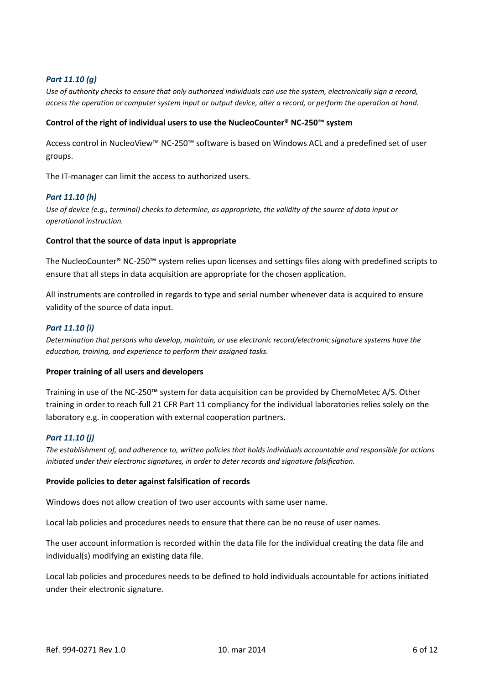# <span id="page-5-0"></span>*Part 11.10 (g)*

*Use of authority checks to ensure that only authorized individuals can use the system, electronically sign a record, access the operation or computer system input or output device, alter a record, or perform the operation at hand.*

#### **Control of the right of individual users to use the NucleoCounter® NC-250™ system**

Access control in NucleoView™ NC-250™ software is based on Windows ACL and a predefined set of user groups.

The IT-manager can limit the access to authorized users.

#### <span id="page-5-1"></span>*Part 11.10 (h)*

*Use of device (e.g., terminal) checks to determine, as appropriate, the validity of the source of data input or operational instruction.*

#### **Control that the source of data input is appropriate**

The NucleoCounter® NC-250™ system relies upon licenses and settings files along with predefined scripts to ensure that all steps in data acquisition are appropriate for the chosen application.

All instruments are controlled in regards to type and serial number whenever data is acquired to ensure validity of the source of data input.

#### <span id="page-5-2"></span>*Part 11.10 (i)*

*Determination that persons who develop, maintain, or use electronic record/electronic signature systems have the education, training, and experience to perform their assigned tasks.*

#### **Proper training of all users and developers**

Training in use of the NC-250™ system for data acquisition can be provided by ChemoMetec A/S. Other training in order to reach full 21 CFR Part 11 compliancy for the individual laboratories relies solely on the laboratory e.g. in cooperation with external cooperation partners.

#### <span id="page-5-3"></span>*Part 11.10 (j)*

*The establishment of, and adherence to, written policies that holds individuals accountable and responsible for actions initiated under their electronic signatures, in order to deter records and signature falsification.*

#### **Provide policies to deter against falsification of records**

Windows does not allow creation of two user accounts with same user name.

Local lab policies and procedures needs to ensure that there can be no reuse of user names.

The user account information is recorded within the data file for the individual creating the data file and individual(s) modifying an existing data file.

Local lab policies and procedures needs to be defined to hold individuals accountable for actions initiated under their electronic signature.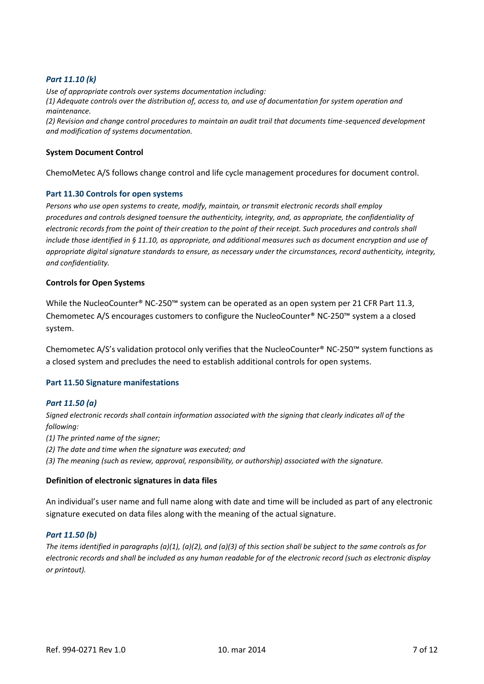# <span id="page-6-0"></span>*Part 11.10 (k)*

*Use of appropriate controls over systems documentation including: (1) Adequate controls over the distribution of, access to, and use of documentation for system operation and maintenance. (2) Revision and change control procedures to maintain an audit trail that documents time-sequenced development and modification of systems documentation.*

#### **System Document Control**

ChemoMetec A/S follows change control and life cycle management procedures for document control.

#### <span id="page-6-1"></span>**Part 11.30 Controls for open systems**

*Persons who use open systems to create, modify, maintain, or transmit electronic records shall employ procedures and controls designed toensure the authenticity, integrity, and, as appropriate, the confidentiality of electronic records from the point of their creation to the point of their receipt. Such procedures and controls shall include those identified in § 11.10, as appropriate, and additional measures such as document encryption and use of appropriate digital signature standards to ensure, as necessary under the circumstances, record authenticity, integrity, and confidentiality.*

#### **Controls for Open Systems**

While the NucleoCounter® NC-250<sup>™</sup> system can be operated as an open system per 21 CFR Part 11.3, Chemometec A/S encourages customers to configure the NucleoCounter® NC-250™ system a a closed system.

Chemometec A/S's validation protocol only verifies that the NucleoCounter® NC-250™ system functions as a closed system and precludes the need to establish additional controls for open systems.

#### <span id="page-6-2"></span>**Part 11.50 Signature manifestations**

#### <span id="page-6-3"></span>*Part 11.50 (a)*

*Signed electronic records shall contain information associated with the signing that clearly indicates all of the following:*

*(1) The printed name of the signer;*

*(2) The date and time when the signature was executed; and*

*(3) The meaning (such as review, approval, responsibility, or authorship) associated with the signature.*

#### **Definition of electronic signatures in data files**

An individual's user name and full name along with date and time will be included as part of any electronic signature executed on data files along with the meaning of the actual signature.

#### <span id="page-6-4"></span>*Part 11.50 (b)*

*The items identified in paragraphs (a)(1), (a)(2), and (a)(3) of this section shall be subject to the same controls as for electronic records and shall be included as any human readable for of the electronic record (such as electronic display or printout).*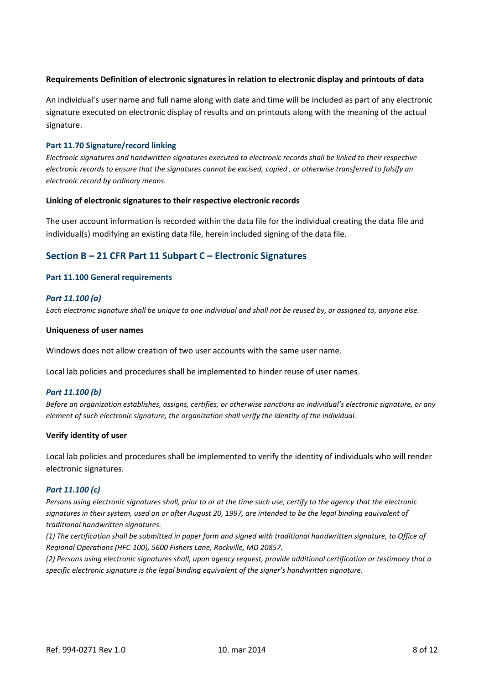# **Requirements Definition of electronic signatures in relation to electronic display and printouts of data**

An individual's user name and full name along with date and time will be included as part of any electronic signature executed on electronic display of results and on printouts along with the meaning of the actual signature.

### <span id="page-7-0"></span>**Part 11.70 Signature/record linking**

*Electronic signatures and handwritten signatures executed to electronic records shall be linked to their respective electronic records to ensure that the signatures cannot be excised, copied , or otherwise transferred to falsify an electronic record by ordinary means.*

#### **Linking of electronic signatures to their respective electronic records**

The user account information is recorded within the data file for the individual creating the data file and individual(s) modifying an existing data file, herein included signing of the data file.

# <span id="page-7-1"></span>**Section B – 21 CFR Part 11 Subpart C – Electronic Signatures**

#### <span id="page-7-2"></span>**Part 11.100 General requirements**

#### <span id="page-7-3"></span>*Part 11.100 (a)*

*Each electronic signature shall be unique to one individual and shall not be reused by, or assigned to, anyone else.*

#### **Uniqueness of user names**

Windows does not allow creation of two user accounts with the same user name.

Local lab policies and procedures shall be implemented to hinder reuse of user names.

# <span id="page-7-4"></span>*Part 11.100 (b)*

*Before an organization establishes, assigns, certifies, or otherwise sanctions an individual's electronic signature, or any element of such electronic signature, the organization shall verify the identity of the individual.*

#### **Verify identity of user**

Local lab policies and procedures shall be implemented to verify the identity of individuals who will render electronic signatures.

#### <span id="page-7-5"></span>*Part 11.100 (c)*

*Persons using electronic signatures shall, prior to or at the time such use, certify to the agency that the electronic signatures in their system, used on or after August 20, 1997, are intended to be the legal binding equivalent of traditional handwritten signatures.*

*(1) The certification shall be submitted in paper form and signed with traditional handwritten signature, to Office of Regional Operations (HFC-100), 5600 Fishers Lane, Rockville, MD 20857.*

*(2) Persons using electronic signatures shall, upon agency request, provide additional certification or testimony that a specific electronic signature is the legal binding equivalent of the signer's handwritten signature.*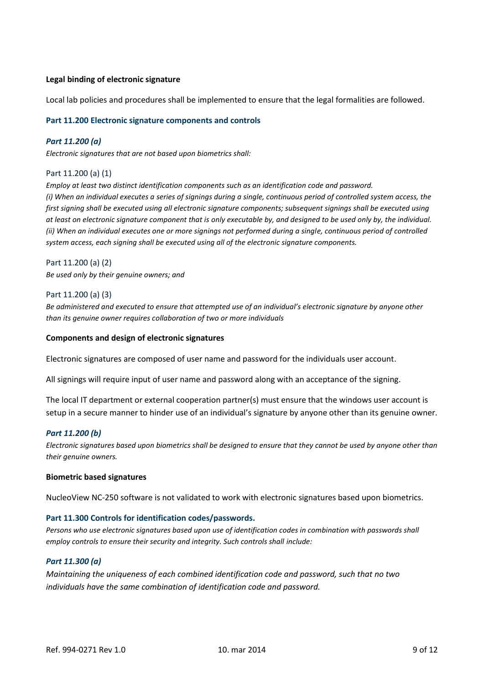# **Legal binding of electronic signature**

Local lab policies and procedures shall be implemented to ensure that the legal formalities are followed.

#### <span id="page-8-0"></span>**Part 11.200 Electronic signature components and controls**

#### <span id="page-8-1"></span>*Part 11.200 (a)*

*Electronic signatures that are not based upon biometrics shall:*

#### Part 11.200 (a) (1)

*Employ at least two distinct identification components such as an identification code and password. (i) When an individual executes a series of signings during a single, continuous period of controlled system access, the first signing shall be executed using all electronic signature components; subsequent signings shall be executed using at least on electronic signature component that is only executable by, and designed to be used only by, the individual. (ii) When an individual executes one or more signings not performed during a single, continuous period of controlled system access, each signing shall be executed using all of the electronic signature components.*

Part 11.200 (a) (2) *Be used only by their genuine owners; and*

#### Part 11.200 (a) (3)

*Be administered and executed to ensure that attempted use of an individual's electronic signature by anyone other than its genuine owner requires collaboration of two or more individuals*

#### **Components and design of electronic signatures**

Electronic signatures are composed of user name and password for the individuals user account.

All signings will require input of user name and password along with an acceptance of the signing.

The local IT department or external cooperation partner(s) must ensure that the windows user account is setup in a secure manner to hinder use of an individual's signature by anyone other than its genuine owner.

# <span id="page-8-2"></span>*Part 11.200 (b)*

*Electronic signatures based upon biometrics shall be designed to ensure that they cannot be used by anyone other than their genuine owners.*

#### **Biometric based signatures**

NucleoView NC-250 software is not validated to work with electronic signatures based upon biometrics.

#### <span id="page-8-3"></span>**Part 11.300 Controls for identification codes/passwords.**

*Persons who use electronic signatures based upon use of identification codes in combination with passwords shall employ controls to ensure their security and integrity. Such controls shall include:*

#### <span id="page-8-4"></span>*Part 11.300 (a)*

*Maintaining the uniqueness of each combined identification code and password, such that no two individuals have the same combination of identification code and password.*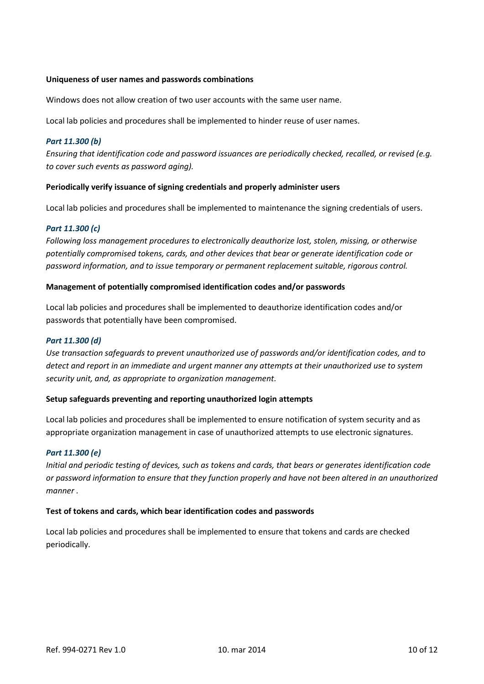### **Uniqueness of user names and passwords combinations**

Windows does not allow creation of two user accounts with the same user name.

Local lab policies and procedures shall be implemented to hinder reuse of user names.

### <span id="page-9-0"></span>*Part 11.300 (b)*

*Ensuring that identification code and password issuances are periodically checked, recalled, or revised (e.g. to cover such events as password aging).*

#### **Periodically verify issuance of signing credentials and properly administer users**

Local lab policies and procedures shall be implemented to maintenance the signing credentials of users.

# <span id="page-9-1"></span>*Part 11.300 (c)*

*Following loss management procedures to electronically deauthorize lost, stolen, missing, or otherwise potentially compromised tokens, cards, and other devices that bear or generate identification code or password information, and to issue temporary or permanent replacement suitable, rigorous control.*

#### **Management of potentially compromised identification codes and/or passwords**

Local lab policies and procedures shall be implemented to deauthorize identification codes and/or passwords that potentially have been compromised.

#### <span id="page-9-2"></span>*Part 11.300 (d)*

*Use transaction safeguards to prevent unauthorized use of passwords and/or identification codes, and to detect and report in an immediate and urgent manner any attempts at their unauthorized use to system security unit, and, as appropriate to organization management.*

#### **Setup safeguards preventing and reporting unauthorized login attempts**

Local lab policies and procedures shall be implemented to ensure notification of system security and as appropriate organization management in case of unauthorized attempts to use electronic signatures.

#### <span id="page-9-3"></span>*Part 11.300 (e)*

*Initial and periodic testing of devices, such as tokens and cards, that bears or generates identification code or password information to ensure that they function properly and have not been altered in an unauthorized manner .*

#### **Test of tokens and cards, which bear identification codes and passwords**

Local lab policies and procedures shall be implemented to ensure that tokens and cards are checked periodically.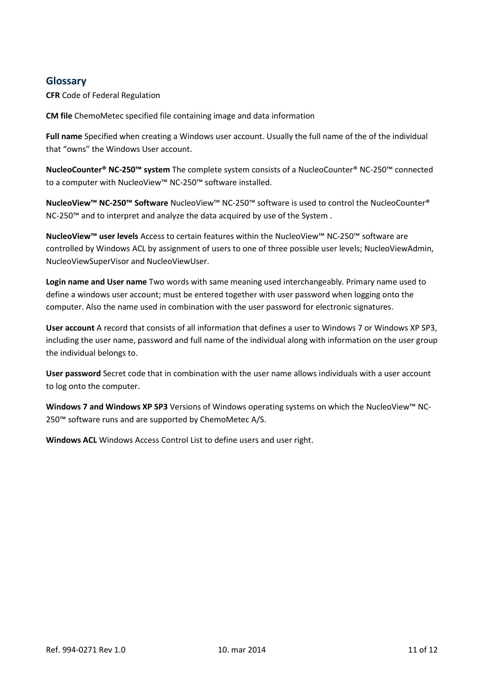# <span id="page-10-0"></span>**Glossary**

**CFR** Code of Federal Regulation

**CM file** ChemoMetec specified file containing image and data information

Full name Specified when creating a Windows user account. Usually the full name of the of the individual that "owns" the Windows User account.

**NucleoCounter® NC-250™ system** The complete system consists of a NucleoCounter® NC-250™ connected to a computer with NucleoView™ NC-250™ software installed.

**NucleoView™ NC-250™ Software** NucleoView™ NC-250™ software is used to control the NucleoCounter® NC-250™ and to interpret and analyze the data acquired by use of the System .

**NucleoView™ user levels** Access to certain features within the NucleoView™ NC-250™ software are controlled by Windows ACL by assignment of users to one of three possible user levels; NucleoViewAdmin, NucleoViewSuperVisor and NucleoViewUser.

**Login name and User name** Two words with same meaning used interchangeably. Primary name used to define a windows user account; must be entered together with user password when logging onto the computer. Also the name used in combination with the user password for electronic signatures.

**User account** A record that consists of all information that defines a user to Windows 7 or Windows XP SP3, including the user name, password and full name of the individual along with information on the user group the individual belongs to.

**User password** Secret code that in combination with the user name allows individuals with a user account to log onto the computer.

**Windows 7 and Windows XP SP3** Versions of Windows operating systems on which the NucleoView™ NC-250™ software runs and are supported by ChemoMetec A/S.

**Windows ACL** Windows Access Control List to define users and user right.